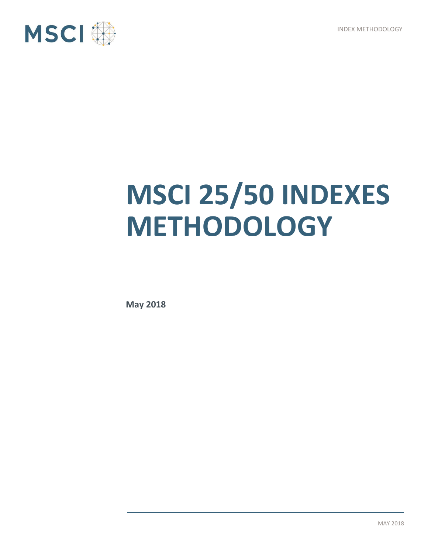INDEX METHODOLOGY



# **MSCI 25/50 INDEXES METHODOLOGY**

**May 2018**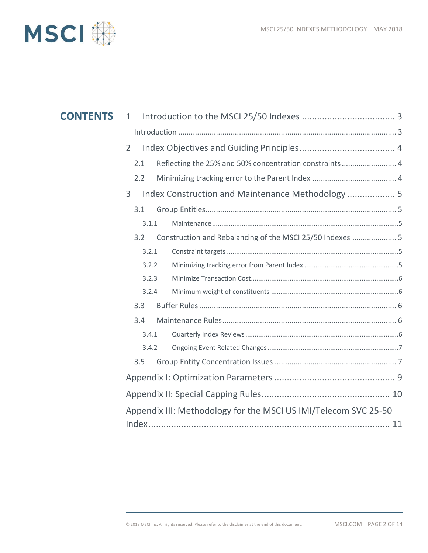

| <b>CONTENTS</b> | $\mathbf{1}$                                                  |                                                                 |  |
|-----------------|---------------------------------------------------------------|-----------------------------------------------------------------|--|
|                 |                                                               |                                                                 |  |
|                 | 2                                                             |                                                                 |  |
|                 | Reflecting the 25% and 50% concentration constraints 4<br>2.1 |                                                                 |  |
|                 | 2.2                                                           |                                                                 |  |
|                 | Index Construction and Maintenance Methodology  5<br>3        |                                                                 |  |
|                 | 3.1                                                           |                                                                 |  |
|                 | 3.1.1                                                         |                                                                 |  |
|                 | 3.2                                                           | Construction and Rebalancing of the MSCI 25/50 Indexes  5       |  |
|                 | 3.2.1                                                         |                                                                 |  |
|                 | 3.2.2                                                         |                                                                 |  |
|                 | 3.2.3                                                         |                                                                 |  |
|                 | 3.2.4                                                         |                                                                 |  |
|                 | 3.3                                                           |                                                                 |  |
|                 | 3.4                                                           |                                                                 |  |
|                 | 3.4.1                                                         |                                                                 |  |
|                 | 3.4.2                                                         |                                                                 |  |
|                 | 3.5                                                           |                                                                 |  |
|                 |                                                               |                                                                 |  |
|                 |                                                               |                                                                 |  |
|                 |                                                               | Appendix III: Methodology for the MSCI US IMI/Telecom SVC 25-50 |  |
|                 |                                                               |                                                                 |  |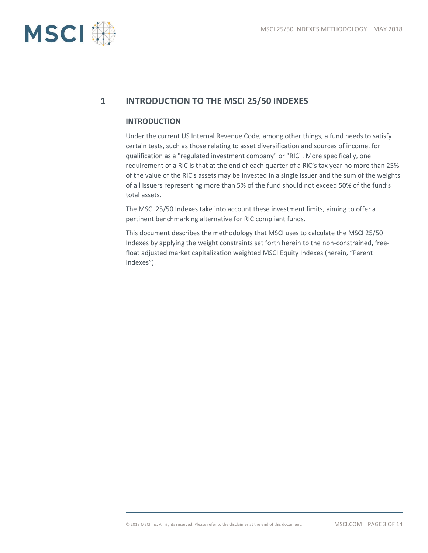

# **1 INTRODUCTION TO THE MSCI 25/50 INDEXES**

#### **INTRODUCTION**

Under the current US Internal Revenue Code, among other things, a fund needs to satisfy certain tests, such as those relating to asset diversification and sources of income, for qualification as a "regulated investment company" or "RIC". More specifically, one requirement of a RIC is that at the end of each quarter of a RIC's tax year no more than 25% of the value of the RIC's assets may be invested in a single issuer and the sum of the weights of all issuers representing more than 5% of the fund should not exceed 50% of the fund's total assets.

The MSCI 25/50 Indexes take into account these investment limits, aiming to offer a pertinent benchmarking alternative for RIC compliant funds.

This document describes the methodology that MSCI uses to calculate the MSCI 25/50 Indexes by applying the weight constraints set forth herein to the non-constrained, freefloat adjusted market capitalization weighted MSCI Equity Indexes (herein, "Parent Indexes").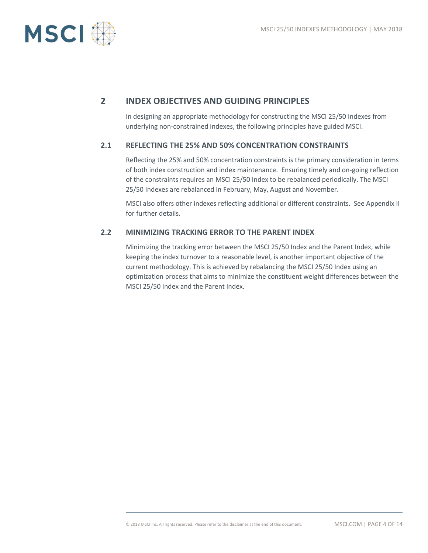

## **2 INDEX OBJECTIVES AND GUIDING PRINCIPLES**

In designing an appropriate methodology for constructing the MSCI 25/50 Indexes from underlying non-constrained indexes, the following principles have guided MSCI.

#### **2.1 REFLECTING THE 25% AND 50% CONCENTRATION CONSTRAINTS**

Reflecting the 25% and 50% concentration constraints is the primary consideration in terms of both index construction and index maintenance. Ensuring timely and on-going reflection of the constraints requires an MSCI 25/50 Index to be rebalanced periodically. The MSCI 25/50 Indexes are rebalanced in February, May, August and November.

MSCI also offers other indexes reflecting additional or different constraints. See Appendix II for further details.

#### **2.2 MINIMIZING TRACKING ERROR TO THE PARENT INDEX**

Minimizing the tracking error between the MSCI 25/50 Index and the Parent Index, while keeping the index turnover to a reasonable level, is another important objective of the current methodology. This is achieved by rebalancing the MSCI 25/50 Index using an optimization process that aims to minimize the constituent weight differences between the MSCI 25/50 Index and the Parent Index.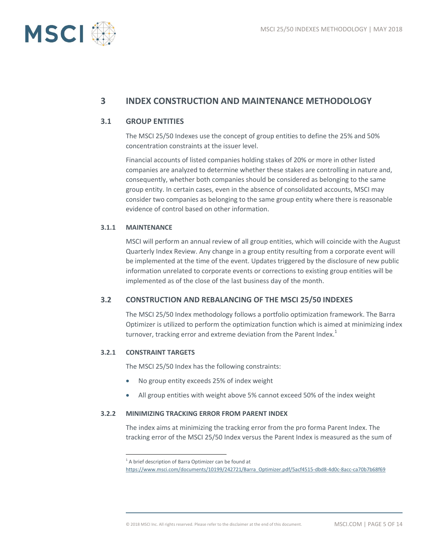

## **3 INDEX CONSTRUCTION AND MAINTENANCE METHODOLOGY**

#### **3.1 GROUP ENTITIES**

The MSCI 25/50 Indexes use the concept of group entities to define the 25% and 50% concentration constraints at the issuer level.

Financial accounts of listed companies holding stakes of 20% or more in other listed companies are analyzed to determine whether these stakes are controlling in nature and, consequently, whether both companies should be considered as belonging to the same group entity. In certain cases, even in the absence of consolidated accounts, MSCI may consider two companies as belonging to the same group entity where there is reasonable evidence of control based on other information.

#### **3.1.1 MAINTENANCE**

MSCI will perform an annual review of all group entities, which will coincide with the August Quarterly Index Review. Any change in a group entity resulting from a corporate event will be implemented at the time of the event. Updates triggered by the disclosure of new public information unrelated to corporate events or corrections to existing group entities will be implemented as of the close of the last business day of the month.

#### **3.2 CONSTRUCTION AND REBALANCING OF THE MSCI 25/50 INDEXES**

The MSCI 25/50 Index methodology follows a portfolio optimization framework. The Barra Optimizer is utilized to perform the optimization function which is aimed at minimizing index turnover, tracking error and extreme deviation from the Parent Index. $1$ 

#### **3.2.1 CONSTRAINT TARGETS**

 $\overline{a}$ 

The MSCI 25/50 Index has the following constraints:

- No group entity exceeds 25% of index weight
- All group entities with weight above 5% cannot exceed 50% of the index weight

#### **3.2.2 MINIMIZING TRACKING ERROR FROM PARENT INDEX**

The index aims at minimizing the tracking error from the pro forma Parent Index. The tracking error of the MSCI 25/50 Index versus the Parent Index is measured as the sum of

 $1$  A brief description of Barra Optimizer can be found at

[https://www.msci.com/documents/10199/242721/Barra\\_Optimizer.pdf/5acf4515-dbd8-4d0c-8acc-ca70b7b68f69](https://www.msci.com/documents/10199/242721/Barra_Optimizer.pdf/5acf4515-dbd8-4d0c-8acc-ca70b7b68f69)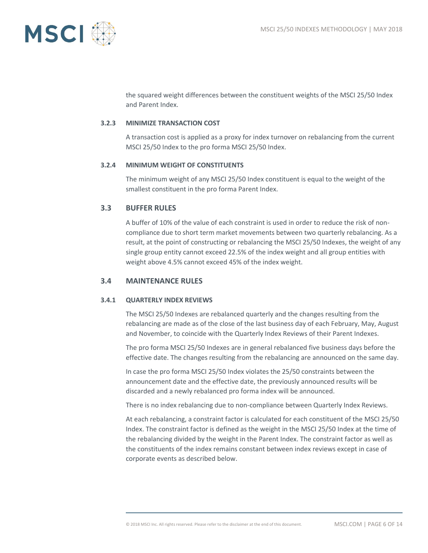

the squared weight differences between the constituent weights of the MSCI 25/50 Index and Parent Index.

#### **3.2.3 MINIMIZE TRANSACTION COST**

A transaction cost is applied as a proxy for index turnover on rebalancing from the current MSCI 25/50 Index to the pro forma MSCI 25/50 Index.

#### **3.2.4 MINIMUM WEIGHT OF CONSTITUENTS**

The minimum weight of any MSCI 25/50 Index constituent is equal to the weight of the smallest constituent in the pro forma Parent Index.

#### **3.3 BUFFER RULES**

A buffer of 10% of the value of each constraint is used in order to reduce the risk of noncompliance due to short term market movements between two quarterly rebalancing. As a result, at the point of constructing or rebalancing the MSCI 25/50 Indexes, the weight of any single group entity cannot exceed 22.5% of the index weight and all group entities with weight above 4.5% cannot exceed 45% of the index weight.

#### **3.4 MAINTENANCE RULES**

#### **3.4.1 QUARTERLY INDEX REVIEWS**

The MSCI 25/50 Indexes are rebalanced quarterly and the changes resulting from the rebalancing are made as of the close of the last business day of each February, May, August and November, to coincide with the Quarterly Index Reviews of their Parent Indexes.

The pro forma MSCI 25/50 Indexes are in general rebalanced five business days before the effective date. The changes resulting from the rebalancing are announced on the same day.

In case the pro forma MSCI 25/50 Index violates the 25/50 constraints between the announcement date and the effective date, the previously announced results will be discarded and a newly rebalanced pro forma index will be announced.

There is no index rebalancing due to non-compliance between Quarterly Index Reviews.

At each rebalancing, a constraint factor is calculated for each constituent of the MSCI 25/50 Index. The constraint factor is defined as the weight in the MSCI 25/50 Index at the time of the rebalancing divided by the weight in the Parent Index. The constraint factor as well as the constituents of the index remains constant between index reviews except in case of corporate events as described below.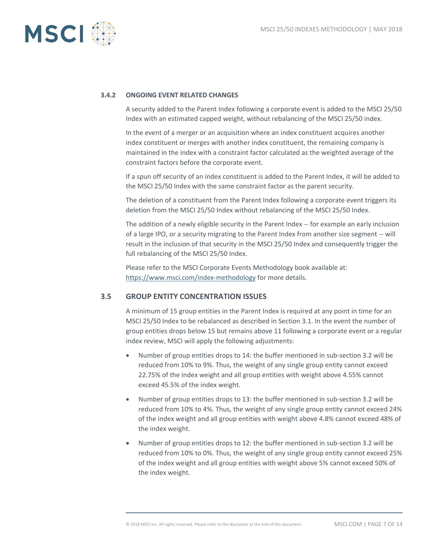

#### **3.4.2 ONGOING EVENT RELATED CHANGES**

A security added to the Parent Index following a corporate event is added to the MSCI 25/50 Index with an estimated capped weight, without rebalancing of the MSCI 25/50 index.

In the event of a merger or an acquisition where an index constituent acquires another index constituent or merges with another index constituent, the remaining company is maintained in the index with a constraint factor calculated as the weighted average of the constraint factors before the corporate event.

If a spun off security of an index constituent is added to the Parent Index, it will be added to the MSCI 25/50 Index with the same constraint factor as the parent security.

The deletion of a constituent from the Parent Index following a corporate event triggers its deletion from the MSCI 25/50 Index without rebalancing of the MSCI 25/50 Index.

The addition of a newly eligible security in the Parent Index -- for example an early inclusion of a large IPO, or a security migrating to the Parent Index from another size segment -- will result in the inclusion of that security in the MSCI 25/50 Index and consequently trigger the full rebalancing of the MSCI 25/50 Index.

Please refer to the MSCI Corporate Events Methodology book available at: <https://www.msci.com/index-methodology> for more details.

#### **3.5 GROUP ENTITY CONCENTRATION ISSUES**

A minimum of 15 group entities in the Parent Index is required at any point in time for an MSCI 25/50 Index to be rebalanced as described in Section 3.1. In the event the number of group entities drops below 15 but remains above 11 following a corporate event or a regular index review, MSCI will apply the following adjustments:

- Number of group entities drops to 14: the buffer mentioned in sub-section 3.2 will be reduced from 10% to 9%. Thus, the weight of any single group entity cannot exceed 22.75% of the index weight and all group entities with weight above 4.55% cannot exceed 45.5% of the index weight.
- Number of group entities drops to 13: the buffer mentioned in sub-section 3.2 will be reduced from 10% to 4%. Thus, the weight of any single group entity cannot exceed 24% of the index weight and all group entities with weight above 4.8% cannot exceed 48% of the index weight.
- Number of group entities drops to 12: the buffer mentioned in sub-section 3.2 will be reduced from 10% to 0%. Thus, the weight of any single group entity cannot exceed 25% of the index weight and all group entities with weight above 5% cannot exceed 50% of the index weight.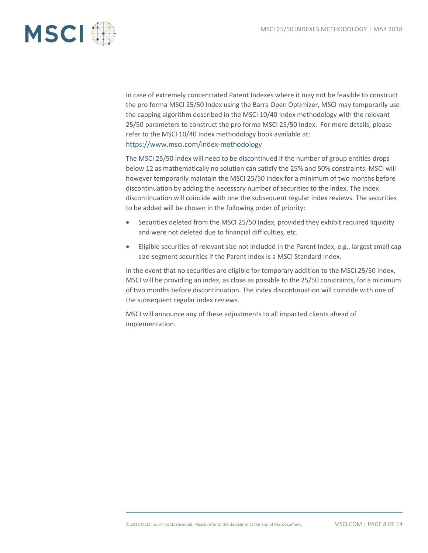

In case of extremely concentrated Parent Indexes where it may not be feasible to construct the pro forma MSCI 25/50 Index using the Barra Open Optimizer, MSCI may temporarily use the capping algorithm described in the MSCI 10/40 Index methodology with the relevant 25/50 parameters to construct the pro forma MSCI 25/50 Index. For more details, please refer to the MSCI 10/40 Index methodology book available at: https://www.msci.com/index-methodology

The MSCI 25/50 Index will need to be discontinued if the number of group entities drops below 12 as mathematically no solution can satisfy the 25% and 50% constraints. MSCI will however temporarily maintain the MSCI 25/50 Index for a minimum of two months before discontinuation by adding the necessary number of securities to the index. The index discontinuation will coincide with one the subsequent regular index reviews. The securities to be added will be chosen in the following order of priority:

- Securities deleted from the MSCI 25/50 Index, provided they exhibit required liquidity and were not deleted due to financial difficulties, etc.
- Eligible securities of relevant size not included in the Parent Index, e.g., largest small cap size-segment securities if the Parent Index is a MSCI Standard Index.

In the event that no securities are eligible for temporary addition to the MSCI 25/50 Index, MSCI will be providing an index, as close as possible to the 25/50 constraints, for a minimum of two months before discontinuation. The index discontinuation will coincide with one of the subsequent regular index reviews.

MSCI will announce any of these adjustments to all impacted clients ahead of implementation.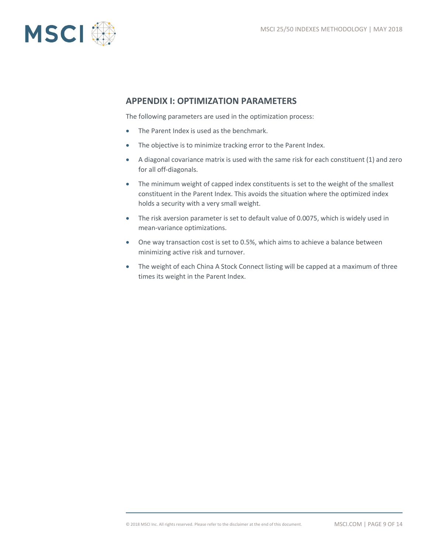

### **APPENDIX I: OPTIMIZATION PARAMETERS**

The following parameters are used in the optimization process:

- The Parent Index is used as the benchmark.
- The objective is to minimize tracking error to the Parent Index.
- A diagonal covariance matrix is used with the same risk for each constituent (1) and zero for all off-diagonals.
- The minimum weight of capped index constituents is set to the weight of the smallest constituent in the Parent Index. This avoids the situation where the optimized index holds a security with a very small weight.
- The risk aversion parameter is set to default value of 0.0075, which is widely used in mean-variance optimizations.
- One way transaction cost is set to 0.5%, which aims to achieve a balance between minimizing active risk and turnover.
- The weight of each China A Stock Connect listing will be capped at a maximum of three times its weight in the Parent Index.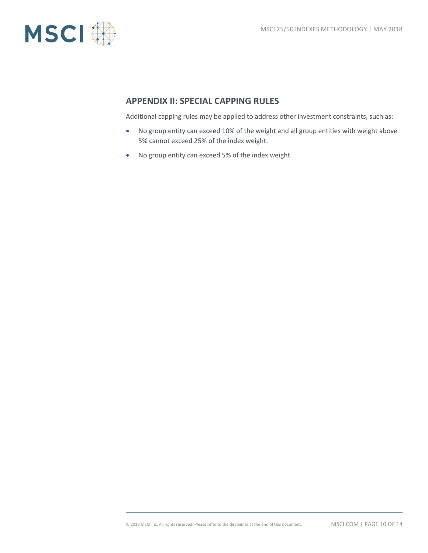

## **APPENDIX II: SPECIAL CAPPING RULES**

Additional capping rules may be applied to address other investment constraints, such as:

- No group entity can exceed 10% of the weight and all group entities with weight above 5% cannot exceed 25% of the index weight.
- No group entity can exceed 5% of the index weight.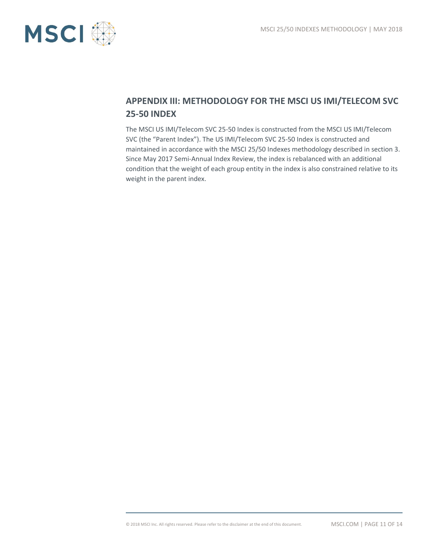

# **APPENDIX III: METHODOLOGY FOR THE MSCI US IMI/TELECOM SVC 25-50 INDEX**

The MSCI US IMI/Telecom SVC 25-50 Index is constructed from the MSCI US IMI/Telecom SVC (the "Parent Index"). The US IMI/Telecom SVC 25-50 Index is constructed and maintained in accordance with the MSCI 25/50 Indexes methodology described in section 3. Since May 2017 Semi-Annual Index Review, the index is rebalanced with an additional condition that the weight of each group entity in the index is also constrained relative to its weight in the parent index.

© 2018 MSCI Inc. All rights reserved. Please refer to the disclaimer at the end of this document. MSCI.COM | PAGE 11 OF 14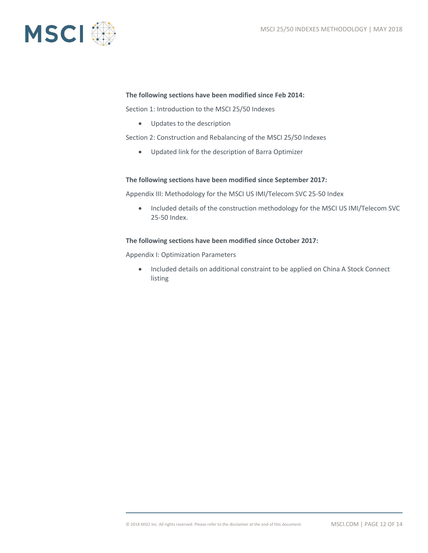

#### **The following sections have been modified since Feb 2014:**

Section 1: Introduction to the MSCI 25/50 Indexes

Updates to the description

Section 2: Construction and Rebalancing of the MSCI 25/50 Indexes

Updated link for the description of Barra Optimizer

#### **The following sections have been modified since September 2017:**

Appendix III: Methodology for the MSCI US IMI/Telecom SVC 25-50 Index

• Included details of the construction methodology for the MSCI US IMI/Telecom SVC 25-50 Index.

#### **The following sections have been modified since October 2017:**

Appendix I: Optimization Parameters

• Included details on additional constraint to be applied on China A Stock Connect listing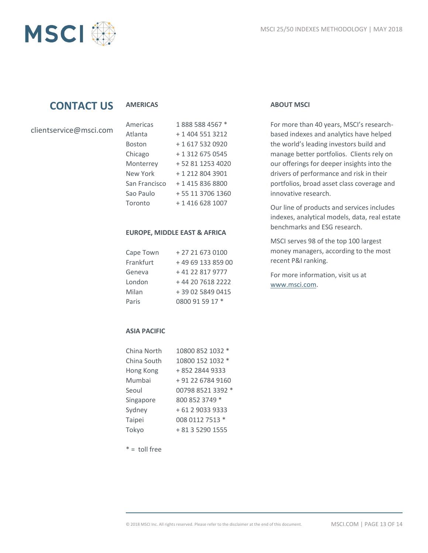



# **CONTACT US**

#### **AMERICAS**

| clientservice@msci.com |  |  |
|------------------------|--|--|
|------------------------|--|--|

| Americas      | 1888 588 4567 *  |
|---------------|------------------|
| Atlanta       | + 1 404 551 3212 |
| Boston        | + 1 617 532 0920 |
| Chicago       | + 1 312 675 0545 |
| Monterrey     | +52 81 1253 4020 |
| New York      | + 1 212 804 3901 |
| San Francisco | + 1 415 836 8800 |
| Sao Paulo     | +55 11 3706 1360 |
| Toronto       | + 1 416 628 1007 |

#### **EUROPE, MIDDLE EAST & AFRICA**

| Cape Town | +27 21 673 0100   |
|-----------|-------------------|
| Frankfurt | +49 69 133 859 00 |
| Geneva    | +41 22 817 9777   |
| London    | +44 20 7618 2222  |
| Milan     | +39 02 5849 0415  |
| Paris     | 0800 91 59 17 *   |

#### **ABOUT MSCI**

For more than 40 years, MSCI's researchbased indexes and analytics have helped the world's leading investors build and manage better portfolios. Clients rely on our offerings for deeper insights into the drivers of performance and risk in their portfolios, broad asset class coverage and innovative research.

Our line of products and services includes indexes, analytical models, data, real estate benchmarks and ESG research.

MSCI serves 98 of the top 100 largest money managers, according to the most recent P&I ranking.

For more information, visit us at [www.msci.com.](https://www.msci.com/)

#### **ASIA PACIFIC**

| China North | 10800 852 1032 *  |
|-------------|-------------------|
| China South | 10800 152 1032 *  |
| Hong Kong   | +852 2844 9333    |
| Mumbai      | +91 22 6784 9160  |
| Seoul       | 00798 8521 3392 * |
| Singapore   | 800 852 3749 *    |
| Sydney      | + 61 2 9033 9333  |
| Taipei      | 008 0112 7513 *   |
| Tokyo       | + 81 3 5290 1555  |

 $* =$  toll free